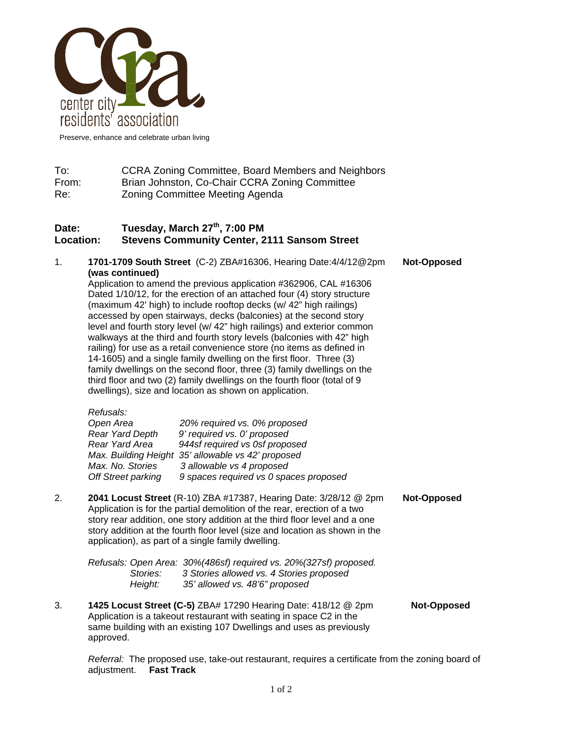

Preserve, enhance and celebrate urban living

To: CCRA Zoning Committee, Board Members and Neighbors<br>From: Brian Johnston. Co-Chair CCRA Zoning Committee Brian Johnston, Co-Chair CCRA Zoning Committee Re: Zoning Committee Meeting Agenda

## **Date: Tuesday, March 27th, 7:00 PM Location: Stevens Community Center, 2111 Sansom Street**

| 1. | 1701-1709 South Street (C-2) ZBA#16306, Hearing Date: 4/4/12@2pm<br>Not-Opposed<br>(was continued)<br>Application to amend the previous application #362906, CAL #16306<br>Dated 1/10/12, for the erection of an attached four (4) story structure<br>(maximum 42' high) to include rooftop decks (w/ 42" high railings)<br>accessed by open stairways, decks (balconies) at the second story<br>level and fourth story level (w/ 42" high railings) and exterior common<br>walkways at the third and fourth story levels (balconies with 42" high<br>railing) for use as a retail convenience store (no items as defined in<br>14-1605) and a single family dwelling on the first floor. Three (3)<br>family dwellings on the second floor, three (3) family dwellings on the<br>third floor and two (2) family dwellings on the fourth floor (total of 9<br>dwellings), size and location as shown on application. |                                                                                                                                                                                                                            |  |
|----|----------------------------------------------------------------------------------------------------------------------------------------------------------------------------------------------------------------------------------------------------------------------------------------------------------------------------------------------------------------------------------------------------------------------------------------------------------------------------------------------------------------------------------------------------------------------------------------------------------------------------------------------------------------------------------------------------------------------------------------------------------------------------------------------------------------------------------------------------------------------------------------------------------------------|----------------------------------------------------------------------------------------------------------------------------------------------------------------------------------------------------------------------------|--|
|    | Refusals:<br>Open Area<br>Rear Yard Depth<br>Rear Yard Area<br>Max. No. Stories<br>Off Street parking                                                                                                                                                                                                                                                                                                                                                                                                                                                                                                                                                                                                                                                                                                                                                                                                                | 20% required vs. 0% proposed<br>9' required vs. 0' proposed<br>944sf required vs 0sf proposed<br>Max. Building Height 35' allowable vs 42' proposed<br>3 allowable vs 4 proposed<br>9 spaces required vs 0 spaces proposed |  |
| 2. | 2041 Locust Street (R-10) ZBA #17387, Hearing Date: 3/28/12 @ 2pm<br><b>Not-Opposed</b><br>Application is for the partial demolition of the rear, erection of a two<br>story rear addition, one story addition at the third floor level and a one<br>story addition at the fourth floor level (size and location as shown in the<br>application), as part of a single family dwelling.                                                                                                                                                                                                                                                                                                                                                                                                                                                                                                                               |                                                                                                                                                                                                                            |  |
|    | Stories:<br>Height:                                                                                                                                                                                                                                                                                                                                                                                                                                                                                                                                                                                                                                                                                                                                                                                                                                                                                                  | Refusals: Open Area: 30%(486sf) required vs. 20%(327sf) proposed.<br>3 Stories allowed vs. 4 Stories proposed<br>35' allowed vs. 48'6" proposed                                                                            |  |
| 3. | 1425 Locust Street (C-5) ZBA# 17290 Hearing Date: 418/12 @ 2pm<br>Not-Opposed<br>Application is a takeout restaurant with seating in space C2 in the<br>same building with an existing 107 Dwellings and uses as previously<br>approved.                                                                                                                                                                                                                                                                                                                                                                                                                                                                                                                                                                                                                                                                             |                                                                                                                                                                                                                            |  |

*Referral:* The proposed use, take-out restaurant, requires a certificate from the zoning board of adjustment. **Fast Track**